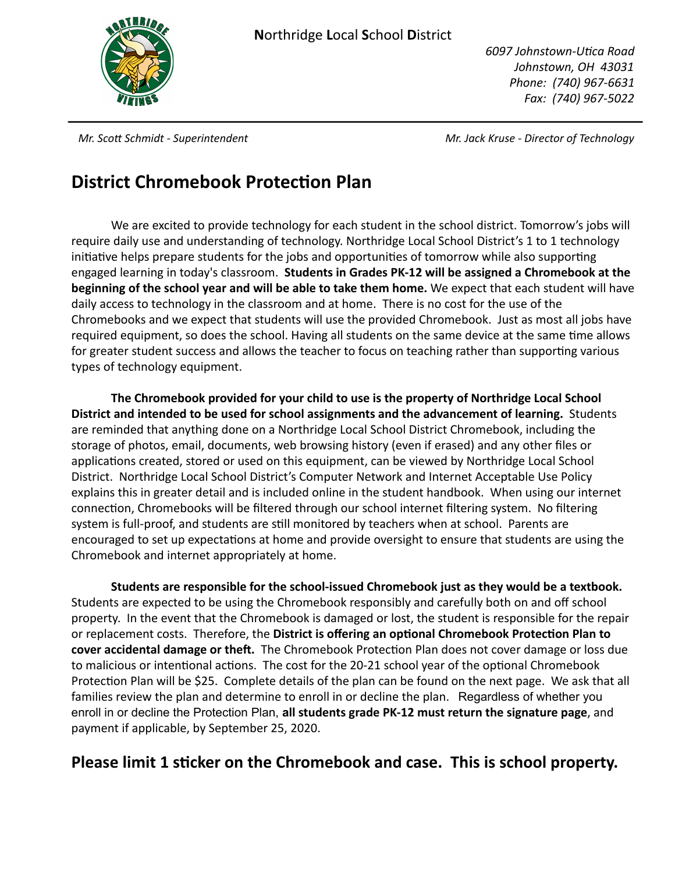

*6097 Johnstown-Uca Road Johnstown, OH 43031 Phone: (740) 967-6631 Fax: (740) 967-5022* 

*Mr. Sco Schmidt - Superintendent Mr. Jack Kruse - Director of Technology*

### **District Chromebook Protection Plan**

We are excited to provide technology for each student in the school district. Tomorrow's jobs will require daily use and understanding of technology. Northridge Local School District's 1 to 1 technology initiative helps prepare students for the jobs and opportunities of tomorrow while also supporting engaged learning in today's classroom. **Students in Grades PK-12 will be assigned a Chromebook at the beginning of the school year and will be able to take them home.** We expect that each student will have daily access to technology in the classroom and at home. There is no cost for the use of the Chromebooks and we expect that students will use the provided Chromebook. Just as most all jobs have required equipment, so does the school. Having all students on the same device at the same time allows for greater student success and allows the teacher to focus on teaching rather than supporting various types of technology equipment.

**The Chromebook provided for your child to use is the property of Northridge Local School District and intended to be used for school assignments and the advancement of learning.** Students are reminded that anything done on a Northridge Local School District Chromebook, including the storage of photos, email, documents, web browsing history (even if erased) and any other files or applications created, stored or used on this equipment, can be viewed by Northridge Local School District. Northridge Local School District's Computer Network and Internet Acceptable Use Policy explains this in greater detail and is included online in the student handbook. When using our internet connection, Chromebooks will be filtered through our school internet filtering system. No filtering system is full-proof, and students are still monitored by teachers when at school. Parents are encouraged to set up expectations at home and provide oversight to ensure that students are using the Chromebook and internet appropriately at home.

**Students are responsible for the school-issued Chromebook just as they would be a textbook.**  Students are expected to be using the Chromebook responsibly and carefully both on and off school property. In the event that the Chromebook is damaged or lost, the student is responsible for the repair or replacement costs. Therefore, the District is offering an optional Chromebook Protection Plan to **cover accidental damage or theft.** The Chromebook Protection Plan does not cover damage or loss due to malicious or intentional actions. The cost for the 20-21 school year of the optional Chromebook Protection Plan will be \$25. Complete details of the plan can be found on the next page. We ask that all families review the plan and determine to enroll in or decline the plan. Regardless of whether you enroll in or decline the Protection Plan, **all students grade PK-12 must return the signature page**, and payment if applicable, by September 25, 2020.

### **Please limit 1 sticker on the Chromebook and case. This is school property.**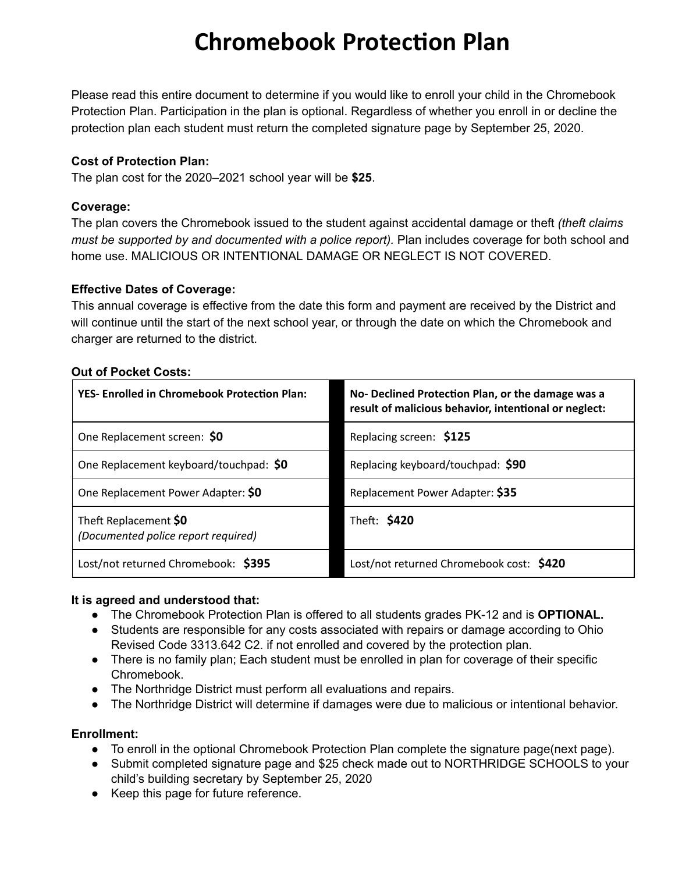# **Chromebook Protection Plan**

Please read this entire document to determine if you would like to enroll your child in the Chromebook Protection Plan. Participation in the plan is optional. Regardless of whether you enroll in or decline the protection plan each student must return the completed signature page by September 25, 2020.

#### **Cost of Protection Plan:**

The plan cost for the 2020–2021 school year will be **\$25**.

#### **Coverage:**

The plan covers the Chromebook issued to the student against accidental damage or theft *(theft claims must be supported by and documented with a police report).* Plan includes coverage for both school and home use. MALICIOUS OR INTENTIONAL DAMAGE OR NEGLECT IS NOT COVERED.

#### **Effective Dates of Coverage:**

This annual coverage is effective from the date this form and payment are received by the District and will continue until the start of the next school year, or through the date on which the Chromebook and charger are returned to the district.

|  | <b>Out of Pocket Costs:</b> |  |
|--|-----------------------------|--|
|  |                             |  |

| <b>YES- Enrolled in Chromebook Protection Plan:</b>          | No- Declined Protection Plan, or the damage was a<br>result of malicious behavior, intentional or neglect: |
|--------------------------------------------------------------|------------------------------------------------------------------------------------------------------------|
| One Replacement screen: \$0                                  | Replacing screen: \$125                                                                                    |
| One Replacement keyboard/touchpad: \$0                       | Replacing keyboard/touchpad: \$90                                                                          |
| One Replacement Power Adapter: \$0                           | Replacement Power Adapter: \$35                                                                            |
| Theft Replacement \$0<br>(Documented police report required) | Theft: \$420                                                                                               |
| Lost/not returned Chromebook: \$395                          | Lost/not returned Chromebook cost: \$420                                                                   |

#### **It is agreed and understood that:**

- The Chromebook Protection Plan is offered to all students grades PK-12 and is **OPTIONAL.**
- Students are responsible for any costs associated with repairs or damage according to Ohio Revised Code 3313.642 C2. if not enrolled and covered by the protection plan.
- There is no family plan; Each student must be enrolled in plan for coverage of their specific Chromebook.
- The Northridge District must perform all evaluations and repairs.
- The Northridge District will determine if damages were due to malicious or intentional behavior.

#### **Enrollment:**

- To enroll in the optional Chromebook Protection Plan complete the signature page(next page).
- Submit completed signature page and \$25 check made out to NORTHRIDGE SCHOOLS to your child's building secretary by September 25, 2020
- Keep this page for future reference.